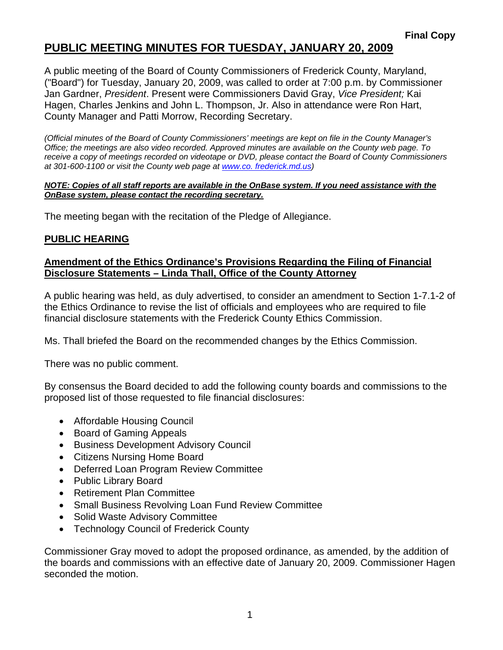# **PUBLIC MEETING MINUTES FOR TUESDAY, JANUARY 20, 2009**

A public meeting of the Board of County Commissioners of Frederick County, Maryland, ("Board") for Tuesday, January 20, 2009, was called to order at 7:00 p.m. by Commissioner Jan Gardner, *President*. Present were Commissioners David Gray, *Vice President;* Kai Hagen, Charles Jenkins and John L. Thompson, Jr. Also in attendance were Ron Hart, County Manager and Patti Morrow, Recording Secretary.

*(Official minutes of the Board of County Commissioners' meetings are kept on file in the County Manager's Office; the meetings are also video recorded. Approved minutes are available on the County web page. To receive a copy of meetings recorded on videotape or DVD, please contact the Board of County Commissioners at 301-600-1100 or visit the County web page at [www.co](http://www.co/). frederick.md.us)* 

#### *NOTE: Copies of all staff reports are available in the OnBase system. If you need assistance with the OnBase system, please contact the recording secretary.*

The meeting began with the recitation of the Pledge of Allegiance.

### **PUBLIC HEARING**

### **Amendment of the Ethics Ordinance's Provisions Regarding the Filing of Financial Disclosure Statements – Linda Thall, Office of the County Attorney**

A public hearing was held, as duly advertised, to consider an amendment to Section 1-7.1-2 of the Ethics Ordinance to revise the list of officials and employees who are required to file financial disclosure statements with the Frederick County Ethics Commission.

Ms. Thall briefed the Board on the recommended changes by the Ethics Commission.

There was no public comment.

By consensus the Board decided to add the following county boards and commissions to the proposed list of those requested to file financial disclosures:

- Affordable Housing Council
- Board of Gaming Appeals
- Business Development Advisory Council
- Citizens Nursing Home Board
- Deferred Loan Program Review Committee
- Public Library Board
- Retirement Plan Committee
- Small Business Revolving Loan Fund Review Committee
- Solid Waste Advisory Committee
- Technology Council of Frederick County

Commissioner Gray moved to adopt the proposed ordinance, as amended, by the addition of the boards and commissions with an effective date of January 20, 2009. Commissioner Hagen seconded the motion.